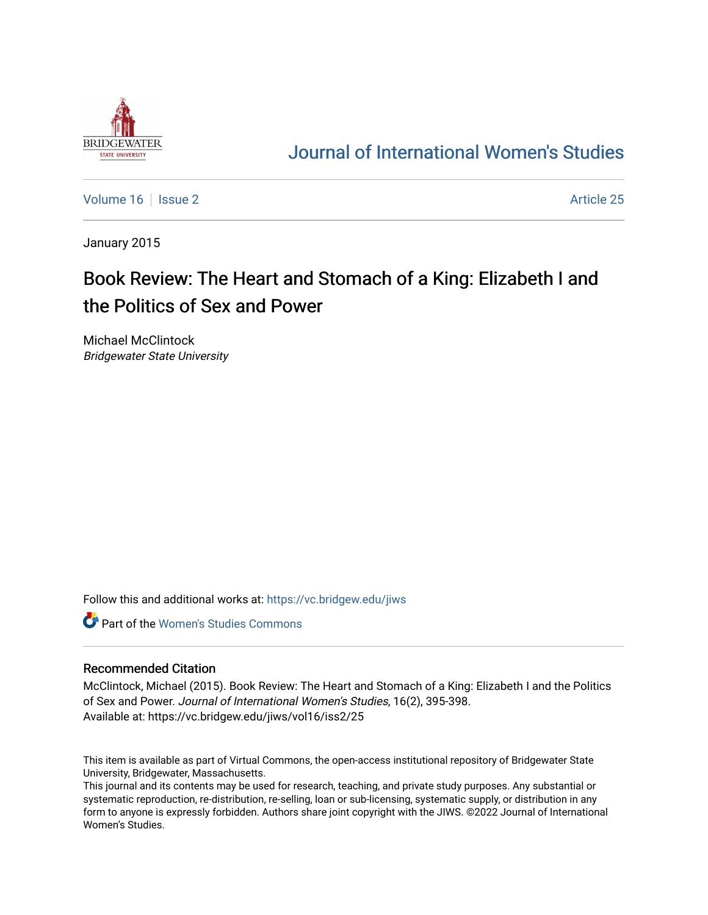

## [Journal of International Women's Studies](https://vc.bridgew.edu/jiws)

[Volume 16](https://vc.bridgew.edu/jiws/vol16) September 25 Article 25

January 2015

# Book Review: The Heart and Stomach of a King: Elizabeth I and the Politics of Sex and Power

Michael McClintock Bridgewater State University

Follow this and additional works at: [https://vc.bridgew.edu/jiws](https://vc.bridgew.edu/jiws?utm_source=vc.bridgew.edu%2Fjiws%2Fvol16%2Fiss2%2F25&utm_medium=PDF&utm_campaign=PDFCoverPages)

**C** Part of the Women's Studies Commons

### Recommended Citation

McClintock, Michael (2015). Book Review: The Heart and Stomach of a King: Elizabeth I and the Politics of Sex and Power. Journal of International Women's Studies, 16(2), 395-398. Available at: https://vc.bridgew.edu/jiws/vol16/iss2/25

This item is available as part of Virtual Commons, the open-access institutional repository of Bridgewater State University, Bridgewater, Massachusetts.

This journal and its contents may be used for research, teaching, and private study purposes. Any substantial or systematic reproduction, re-distribution, re-selling, loan or sub-licensing, systematic supply, or distribution in any form to anyone is expressly forbidden. Authors share joint copyright with the JIWS. ©2022 Journal of International Women's Studies.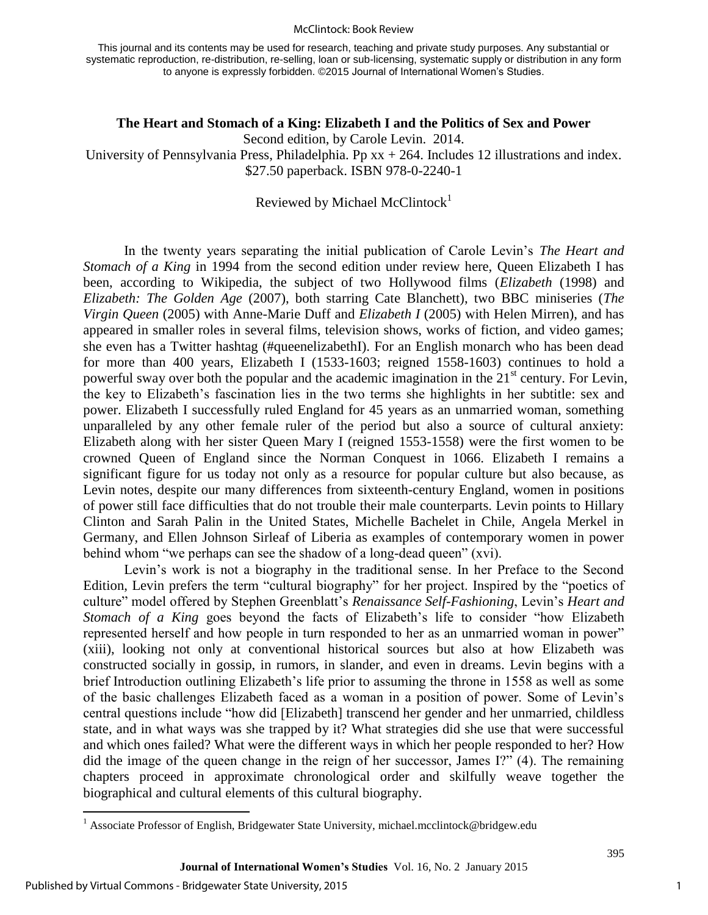#### McClintock: Book Review

This journal and its contents may be used for research, teaching and private study purposes. Any substantial or systematic reproduction, re-distribution, re-selling, loan or sub-licensing, systematic supply or distribution in any form to anyone is expressly forbidden. ©2015 Journal of International Women's Studies.

## **The Heart and Stomach of a King: Elizabeth I and the Politics of Sex and Power**

Second edition, by Carole Levin. 2014.

University of Pennsylvania Press, Philadelphia. Pp  $xx + 264$ . Includes 12 illustrations and index. \$27.50 paperback. ISBN 978-0-2240-1

## Reviewed by Michael McClintock<sup>1</sup>

In the twenty years separating the initial publication of Carole Levin's *The Heart and Stomach of a King* in 1994 from the second edition under review here, Queen Elizabeth I has been, according to Wikipedia, the subject of two Hollywood films (*Elizabeth* (1998) and *Elizabeth: The Golden Age* (2007), both starring Cate Blanchett), two BBC miniseries (*The Virgin Queen* (2005) with Anne-Marie Duff and *Elizabeth I* (2005) with Helen Mirren), and has appeared in smaller roles in several films, television shows, works of fiction, and video games; she even has a Twitter hashtag (#queenelizabethI). For an English monarch who has been dead for more than 400 years, Elizabeth I (1533-1603; reigned 1558-1603) continues to hold a powerful sway over both the popular and the academic imagination in the 21<sup>st</sup> century. For Levin, the key to Elizabeth's fascination lies in the two terms she highlights in her subtitle: sex and power. Elizabeth I successfully ruled England for 45 years as an unmarried woman, something unparalleled by any other female ruler of the period but also a source of cultural anxiety: Elizabeth along with her sister Queen Mary I (reigned 1553-1558) were the first women to be crowned Queen of England since the Norman Conquest in 1066. Elizabeth I remains a significant figure for us today not only as a resource for popular culture but also because, as Levin notes, despite our many differences from sixteenth-century England, women in positions of power still face difficulties that do not trouble their male counterparts. Levin points to Hillary Clinton and Sarah Palin in the United States, Michelle Bachelet in Chile, Angela Merkel in Germany, and Ellen Johnson Sirleaf of Liberia as examples of contemporary women in power behind whom "we perhaps can see the shadow of a long-dead queen" (xvi).

Levin's work is not a biography in the traditional sense. In her Preface to the Second Edition, Levin prefers the term "cultural biography" for her project. Inspired by the "poetics of culture" model offered by Stephen Greenblatt's *Renaissance Self-Fashioning*, Levin's *Heart and Stomach of a King* goes beyond the facts of Elizabeth's life to consider "how Elizabeth" represented herself and how people in turn responded to her as an unmarried woman in power" (xiii), looking not only at conventional historical sources but also at how Elizabeth was constructed socially in gossip, in rumors, in slander, and even in dreams. Levin begins with a brief Introduction outlining Elizabeth's life prior to assuming the throne in 1558 as well as some of the basic challenges Elizabeth faced as a woman in a position of power. Some of Levin's central questions include "how did [Elizabeth] transcend her gender and her unmarried, childless state, and in what ways was she trapped by it? What strategies did she use that were successful and which ones failed? What were the different ways in which her people responded to her? How did the image of the queen change in the reign of her successor, James I?" (4). The remaining chapters proceed in approximate chronological order and skilfully weave together the biographical and cultural elements of this cultural biography.

 $\overline{a}$ 

395

<sup>&</sup>lt;sup>1</sup> Associate Professor of English, Bridgewater State University, michael.mcclintock@bridgew.edu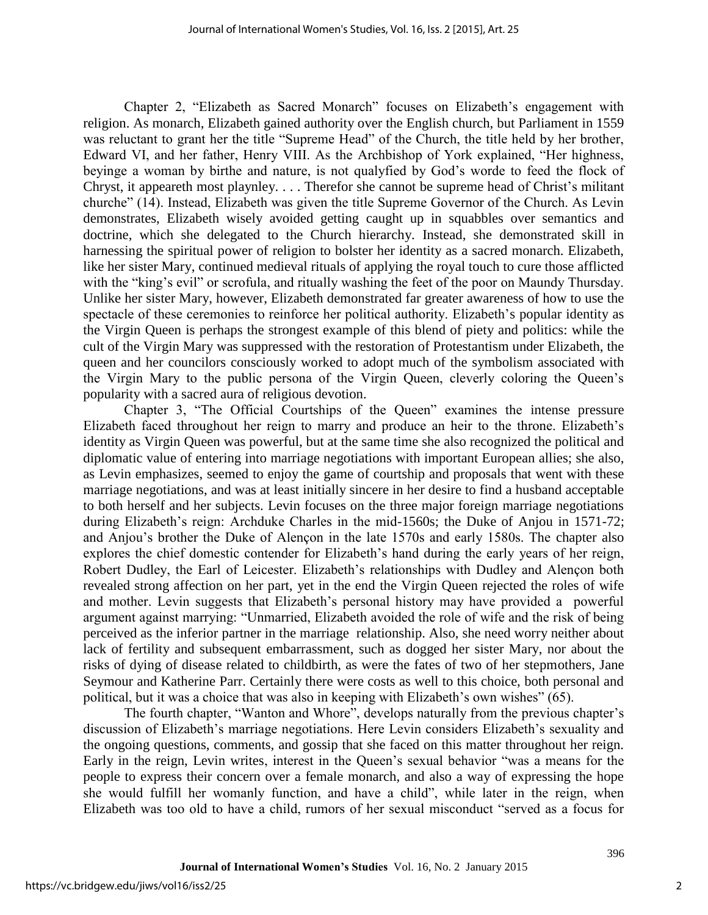Chapter 2, "Elizabeth as Sacred Monarch" focuses on Elizabeth's engagement with religion. As monarch, Elizabeth gained authority over the English church, but Parliament in 1559 was reluctant to grant her the title "Supreme Head" of the Church, the title held by her brother, Edward VI, and her father, Henry VIII. As the Archbishop of York explained, "Her highness, beyinge a woman by birthe and nature, is not qualyfied by God's worde to feed the flock of Chryst, it appeareth most playnley. . . . Therefor she cannot be supreme head of Christ's militant churche" (14). Instead, Elizabeth was given the title Supreme Governor of the Church. As Levin demonstrates, Elizabeth wisely avoided getting caught up in squabbles over semantics and doctrine, which she delegated to the Church hierarchy. Instead, she demonstrated skill in harnessing the spiritual power of religion to bolster her identity as a sacred monarch. Elizabeth, like her sister Mary, continued medieval rituals of applying the royal touch to cure those afflicted with the "king's evil" or scrofula, and ritually washing the feet of the poor on Maundy Thursday. Unlike her sister Mary, however, Elizabeth demonstrated far greater awareness of how to use the spectacle of these ceremonies to reinforce her political authority. Elizabeth's popular identity as the Virgin Queen is perhaps the strongest example of this blend of piety and politics: while the cult of the Virgin Mary was suppressed with the restoration of Protestantism under Elizabeth, the queen and her councilors consciously worked to adopt much of the symbolism associated with the Virgin Mary to the public persona of the Virgin Queen, cleverly coloring the Queen's popularity with a sacred aura of religious devotion.

Chapter 3, "The Official Courtships of the Queen" examines the intense pressure Elizabeth faced throughout her reign to marry and produce an heir to the throne. Elizabeth's identity as Virgin Queen was powerful, but at the same time she also recognized the political and diplomatic value of entering into marriage negotiations with important European allies; she also, as Levin emphasizes, seemed to enjoy the game of courtship and proposals that went with these marriage negotiations, and was at least initially sincere in her desire to find a husband acceptable to both herself and her subjects. Levin focuses on the three major foreign marriage negotiations during Elizabeth's reign: Archduke Charles in the mid-1560s; the Duke of Anjou in 1571-72; and Anjou's brother the Duke of Alençon in the late 1570s and early 1580s. The chapter also explores the chief domestic contender for Elizabeth's hand during the early years of her reign, Robert Dudley, the Earl of Leicester. Elizabeth's relationships with Dudley and Alençon both revealed strong affection on her part, yet in the end the Virgin Queen rejected the roles of wife and mother. Levin suggests that Elizabeth's personal history may have provided a powerful argument against marrying: "Unmarried, Elizabeth avoided the role of wife and the risk of being perceived as the inferior partner in the marriage relationship. Also, she need worry neither about lack of fertility and subsequent embarrassment, such as dogged her sister Mary, nor about the risks of dying of disease related to childbirth, as were the fates of two of her stepmothers, Jane Seymour and Katherine Parr. Certainly there were costs as well to this choice, both personal and political, but it was a choice that was also in keeping with Elizabeth's own wishes" (65).

The fourth chapter, "Wanton and Whore", develops naturally from the previous chapter's discussion of Elizabeth's marriage negotiations. Here Levin considers Elizabeth's sexuality and the ongoing questions, comments, and gossip that she faced on this matter throughout her reign. Early in the reign, Levin writes, interest in the Queen's sexual behavior "was a means for the people to express their concern over a female monarch, and also a way of expressing the hope she would fulfill her womanly function, and have a child", while later in the reign, when Elizabeth was too old to have a child, rumors of her sexual misconduct "served as a focus for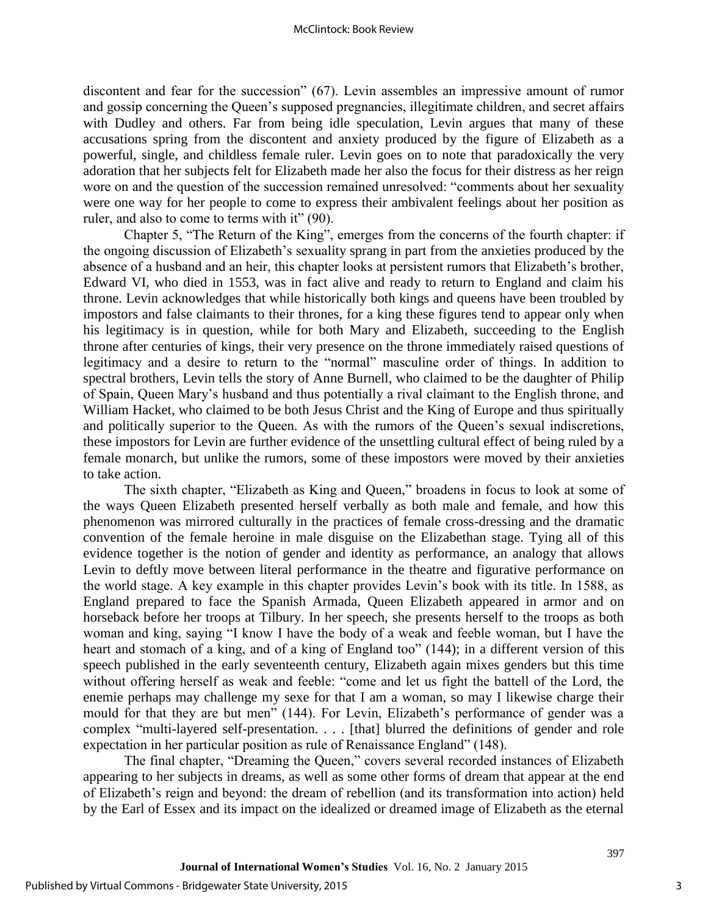discontent and fear for the succession" (67). Levin assembles an impressive amount of rumor and gossip concerning the Queen's supposed pregnancies, illegitimate children, and secret affairs with Dudley and others. Far from being idle speculation, Levin argues that many of these accusations spring from the discontent and anxiety produced by the figure of Elizabeth as a powerful, single, and childless female ruler. Levin goes on to note that paradoxically the very adoration that her subjects felt for Elizabeth made her also the focus for their distress as her reign wore on and the question of the succession remained unresolved: "comments about her sexuality were one way for her people to come to express their ambivalent feelings about her position as ruler, and also to come to terms with it" (90).

Chapter 5, "The Return of the King", emerges from the concerns of the fourth chapter: if the ongoing discussion of Elizabeth's sexuality sprang in part from the anxieties produced by the absence of a husband and an heir, this chapter looks at persistent rumors that Elizabeth's brother, Edward VI, who died in 1553, was in fact alive and ready to return to England and claim his throne. Levin acknowledges that while historically both kings and queens have been troubled by impostors and false claimants to their thrones, for a king these figures tend to appear only when his legitimacy is in question, while for both Mary and Elizabeth, succeeding to the English throne after centuries of kings, their very presence on the throne immediately raised questions of legitimacy and a desire to return to the "normal" masculine order of things. In addition to spectral brothers, Levin tells the story of Anne Burnell, who claimed to be the daughter of Philip of Spain, Queen Mary's husband and thus potentially a rival claimant to the English throne, and William Hacket, who claimed to be both Jesus Christ and the King of Europe and thus spiritually and politically superior to the Queen. As with the rumors of the Queen's sexual indiscretions, these impostors for Levin are further evidence of the unsettling cultural effect of being ruled by a female monarch, but unlike the rumors, some of these impostors were moved by their anxieties to take action.

The sixth chapter, "Elizabeth as King and Queen," broadens in focus to look at some of the ways Queen Elizabeth presented herself verbally as both male and female, and how this phenomenon was mirrored culturally in the practices of female cross-dressing and the dramatic convention of the female heroine in male disguise on the Elizabethan stage. Tying all of this evidence together is the notion of gender and identity as performance, an analogy that allows Levin to deftly move between literal performance in the theatre and figurative performance on the world stage. A key example in this chapter provides Levin's book with its title. In 1588, as England prepared to face the Spanish Armada, Queen Elizabeth appeared in armor and on horseback before her troops at Tilbury. In her speech, she presents herself to the troops as both woman and king, saying "I know I have the body of a weak and feeble woman, but I have the heart and stomach of a king, and of a king of England too" (144); in a different version of this speech published in the early seventeenth century, Elizabeth again mixes genders but this time without offering herself as weak and feeble: "come and let us fight the battell of the Lord, the enemie perhaps may challenge my sexe for that I am a woman, so may I likewise charge their mould for that they are but men" (144). For Levin, Elizabeth's performance of gender was a complex "multi-layered self-presentation. . . . [that] blurred the definitions of gender and role expectation in her particular position as rule of Renaissance England" (148).

The final chapter, "Dreaming the Queen," covers several recorded instances of Elizabeth appearing to her subjects in dreams, as well as some other forms of dream that appear at the end of Elizabeth's reign and beyond: the dream of rebellion (and its transformation into action) held by the Earl of Essex and its impact on the idealized or dreamed image of Elizabeth as the eternal

397